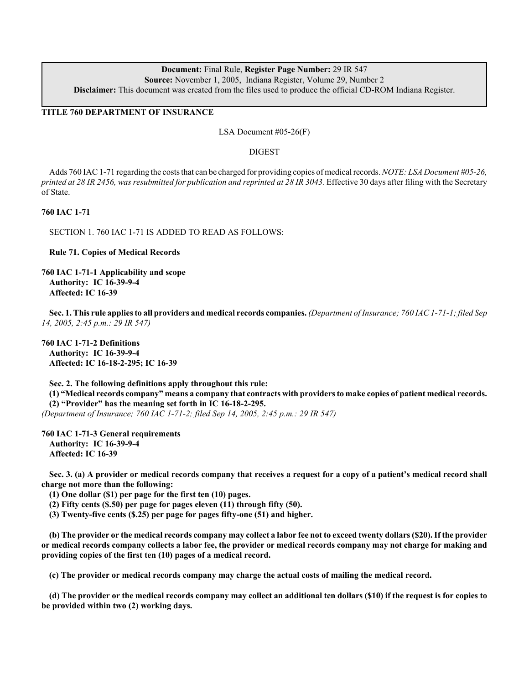**Document:** Final Rule, **Register Page Number:** 29 IR 547 **Source:** November 1, 2005, Indiana Register, Volume 29, Number 2 **Disclaimer:** This document was created from the files used to produce the official CD-ROM Indiana Register.

**TITLE 760 DEPARTMENT OF INSURANCE**

LSA Document #05-26(F)

## DIGEST

Adds 760 IAC 1-71 regarding the costs that can be charged for providing copies of medical records. *NOTE: LSA Document #05-26, printed at 28 IR 2456, was resubmitted for publication and reprinted at 28 IR 3043.* Effective 30 days after filing with the Secretary of State.

**760 IAC 1-71**

SECTION 1. 760 IAC 1-71 IS ADDED TO READ AS FOLLOWS:

**Rule 71. Copies of Medical Records**

**760 IAC 1-71-1 Applicability and scope Authority: IC 16-39-9-4 Affected: IC 16-39**

**Sec. 1. This rule applies to all providers and medical records companies.** *(Department of Insurance; 760 IAC 1-71-1; filed Sep 14, 2005, 2:45 p.m.: 29 IR 547)*

**760 IAC 1-71-2 Definitions Authority: IC 16-39-9-4 Affected: IC 16-18-2-295; IC 16-39**

**Sec. 2. The following definitions apply throughout this rule: (1) "Medical records company" means a company that contracts with providers to make copies of patient medical records. (2) "Provider" has the meaning set forth in IC 16-18-2-295.** *(Department of Insurance; 760 IAC 1-71-2; filed Sep 14, 2005, 2:45 p.m.: 29 IR 547)*

**760 IAC 1-71-3 General requirements Authority: IC 16-39-9-4 Affected: IC 16-39**

**Sec. 3. (a) A provider or medical records company that receives a request for a copy of a patient's medical record shall charge not more than the following:**

**(1) One dollar (\$1) per page for the first ten (10) pages.**

**(2) Fifty cents (\$.50) per page for pages eleven (11) through fifty (50).**

**(3) Twenty-five cents (\$.25) per page for pages fifty-one (51) and higher.**

**(b) The provider or the medical records company may collect a labor fee not to exceed twenty dollars (\$20). If the provider or medical records company collects a labor fee, the provider or medical records company may not charge for making and providing copies of the first ten (10) pages of a medical record.**

**(c) The provider or medical records company may charge the actual costs of mailing the medical record.**

**(d) The provider or the medical records company may collect an additional ten dollars (\$10) if the request is for copies to be provided within two (2) working days.**